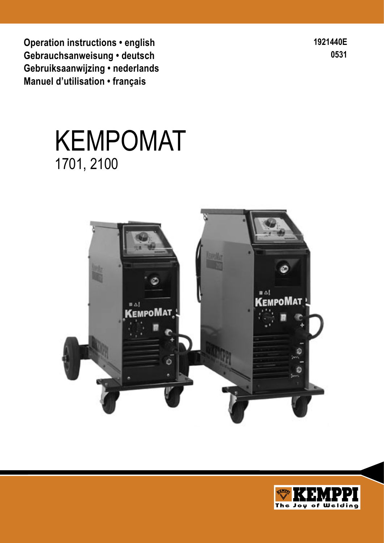**Operation instructions • english Gebrauchsanweisung • deutsch Gebruiksaanwijzing • nederlands Manuel d'utilisation • français**

**1921440E 0531**

# KEMPOMAT 1701, 2100



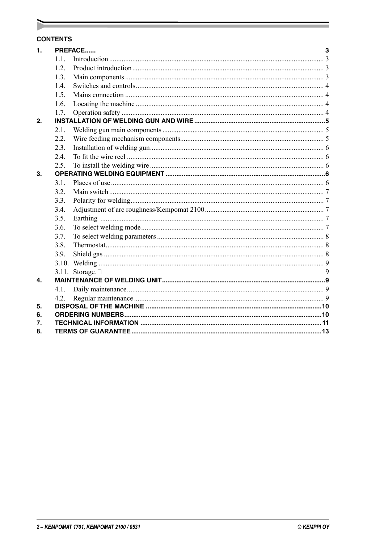#### **CONTENTS**

| $\mathbf 1$ .    | <b>PREFACE</b> |                 |   |  |  |
|------------------|----------------|-----------------|---|--|--|
|                  | 11             |                 |   |  |  |
|                  | 1.2.           |                 |   |  |  |
|                  | 1.3.           |                 |   |  |  |
|                  | 1.4.           |                 |   |  |  |
|                  | 1.5.           |                 |   |  |  |
|                  | 1.6.           |                 |   |  |  |
|                  | 1.7.           |                 |   |  |  |
| 2.               |                |                 |   |  |  |
|                  | 2.1.           |                 |   |  |  |
|                  | 2.2.           |                 |   |  |  |
|                  | 2.3.           |                 |   |  |  |
|                  | 2.4.           |                 |   |  |  |
|                  | 2.5.           |                 |   |  |  |
| 3.               |                |                 |   |  |  |
|                  | 3.1.           |                 |   |  |  |
|                  | 3.2.           |                 |   |  |  |
|                  | 3.3.           |                 |   |  |  |
|                  | 3.4.           |                 |   |  |  |
|                  | 3.5.           |                 |   |  |  |
|                  | 3.6.           |                 |   |  |  |
|                  | 3.7.           |                 |   |  |  |
|                  | 3.8.           |                 |   |  |  |
|                  | 3.9.           |                 |   |  |  |
|                  | 3.10.          |                 |   |  |  |
|                  | 3.11.          | Storage. $\Box$ | 9 |  |  |
| $\overline{4}$ . |                |                 |   |  |  |
|                  | 4.1.           |                 |   |  |  |
|                  | 4.2.           |                 |   |  |  |
| 5.               |                |                 |   |  |  |
| 6.               |                |                 |   |  |  |
| 7.<br>8.         |                |                 |   |  |  |
|                  |                |                 |   |  |  |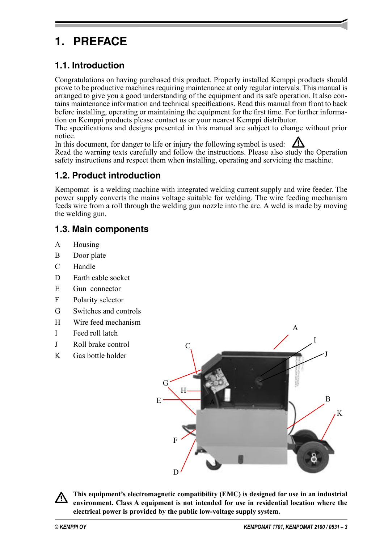# **1. PREFACE**

# **1.1. Introduction**

Congratulations on having purchased this product. Properly installed Kemppi products should prove to be productive machines requiring maintenance at only regular intervals. This manual is arranged to give you a good understanding of the equipment and its safe operation. It also contains maintenance information and technical specifications. Read this manual from front to back before installing, operating or maintaining the equipment for the first time. For further information on Kemppi products please contact us or your nearest Kemppi distributor.

The specifications and designs presented in this manual are subject to change without prior notice.

In this document, for danger to life or injury the following symbol is used:  $\Box$ Read the warning texts carefully and follow the instructions. Please also study the Operation safety instructions and respect them when installing, operating and servicing the machine.

# **1.2. Product introduction**

Kempomat is a welding machine with integrated welding current supply and wire feeder. The power supply converts the mains voltage suitable for welding. The wire feeding mechanism feeds wire from a roll through the welding gun nozzle into the arc. A weld is made by moving the welding gun.

# **1.3. Main components**

- A Housing
- B Door plate
- C Handle
- D Earth cable socket
- E Gun connector
- F Polarity selector
- G Switches and controls
- H Wire feed mechanism
- I Feed roll latch
- J Roll brake control
- K Gas bottle holder



**This equipment's electromagnetic compatibility (EMC) is designed for use in an industrial environment. Class A equipment is not intended for use in residential location where the electrical power is provided by the public low-voltage supply system.**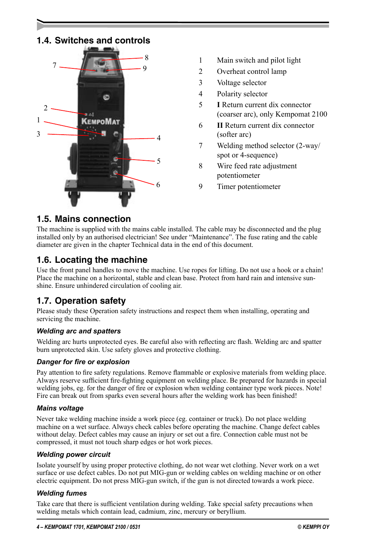# **1.4. Switches and controls**



- 1 Main switch and pilot light
- 2 Overheat control lamp
- 3 Voltage selector
- 4 Polarity selector
- 5 **I** Return current dix connector (coarser arc), only Kempomat 2100
- 6 **II** Return current dix connector (softer arc)
- 7 Welding method selector (2-way/ spot or 4-sequence)
- 8 Wire feed rate adjustment potentiometer
- 9 Timer potentiometer

#### **1.5. Mains connection**

The machine is supplied with the mains cable installed. The cable may be disconnected and the plug installed only by an authorised electrician! See under "Maintenance". The fuse rating and the cable diameter are given in the chapter Technical data in the end of this document.

## **1.6. Locating the machine**

Use the front panel handles to move the machine. Use ropes for lifting. Do not use a hook or a chain! Place the machine on a horizontal, stable and clean base. Protect from hard rain and intensive sunshine. Ensure unhindered circulation of cooling air.

## **1.7. Operation safety**

Please study these Operation safety instructions and respect them when installing, operating and servicing the machine.

#### *Welding arc and spatters*

Welding arc hurts unprotected eyes. Be careful also with reflecting arc flash. Welding arc and spatter burn unprotected skin. Use safety gloves and protective clothing.

#### *Danger for fire or explosion*

Pay attention to fire safety regulations. Remove flammable or explosive materials from welding place. Always reserve sufficient fire-fighting equipment on welding place. Be prepared for hazards in special welding jobs, eg. for the danger of fire or explosion when welding container type work pieces. Note! Fire can break out from sparks even several hours after the welding work has been finished!

#### *Mains voltage*

Never take welding machine inside a work piece (eg. container or truck). Do not place welding machine on a wet surface. Always check cables before operating the machine. Change defect cables without delay. Defect cables may cause an injury or set out a fire. Connection cable must not be compressed, it must not touch sharp edges or hot work pieces.

#### *Welding power circuit*

Isolate yourself by using proper protective clothing, do not wear wet clothing. Never work on a wet surface or use defect cables. Do not put MIG-gun or welding cables on welding machine or on other electric equipment. Do not press MIG-gun switch, if the gun is not directed towards a work piece.

#### *Welding fumes*

Take care that there is sufficient ventilation during welding. Take special safety precautions when welding metals which contain lead, cadmium, zinc, mercury or beryllium.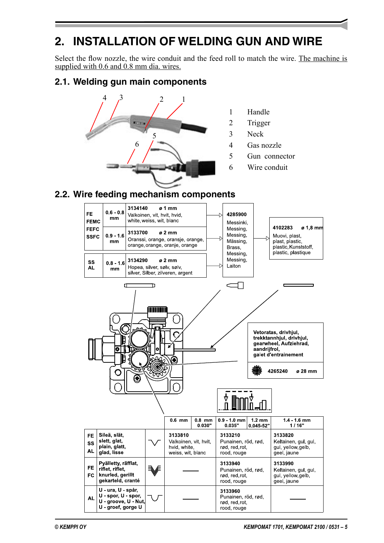# **2. INSTALLATION OF WELDING GUN AND WIRE**

Select the flow nozzle, the wire conduit and the feed roll to match the wire. The machine is supplied with 0.6 and 0.8 mm dia. wires.

## **2.1. Welding gun main components**



- 1 Handle
- 2 Trigger
- 3 Neck
- 4 Gas nozzle
- 5 Gun connector
- 6 Wire conduit

## **2.2. Wire feeding mechanism components**

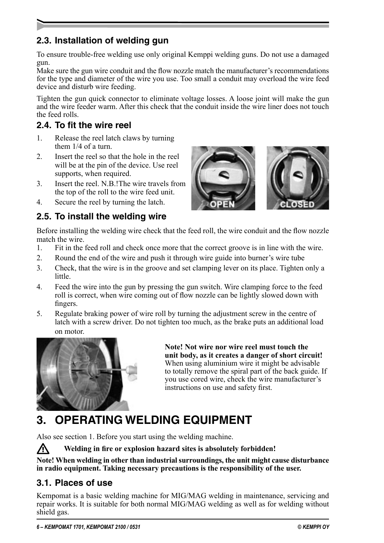# **2.3. Installation of welding gun**

To ensure trouble-free welding use only original Kemppi welding guns. Do not use a damaged gun.

Make sure the gun wire conduit and the flow nozzle match the manufacturer's recommendations for the type and diameter of the wire you use. Too small a conduit may overload the wire feed device and disturb wire feeding.

Tighten the gun quick connector to eliminate voltage losses. A loose joint will make the gun and the wire feeder warm. After this check that the conduit inside the wire liner does not touch the feed rolls.

# **2.4. To fit the wire reel**

- 1. Release the reel latch claws by turning them 1/4 of a turn.
- 2. Insert the reel so that the hole in the reel will be at the pin of the device. Use reel supports, when required.
- 3. Insert the reel. N.B.!The wire travels from the top of the roll to the wire feed unit.
- 4. Secure the reel by turning the latch.



Before installing the welding wire check that the feed roll, the wire conduit and the flow nozzle match the wire.

- 1. Fit in the feed roll and check once more that the correct groove is in line with the wire.
- 2. Round the end of the wire and push it through wire guide into burner's wire tube
- 3. Check, that the wire is in the groove and set clamping lever on its place. Tighten only a little.
- 4. Feed the wire into the gun by pressing the gun switch. Wire clamping force to the feed roll is correct, when wire coming out of flow nozzle can be lightly slowed down with fingers.
- 5. Regulate braking power of wire roll by turning the adjustment screw in the centre of latch with a screw driver. Do not tighten too much, as the brake puts an additional load on motor.



**Note! Not wire nor wire reel must touch the unit body, as it creates a danger of short circuit!** When using aluminium wire it might be advisable to totally remove the spiral part of the back guide. If you use cored wire, check the wire manufacturer's instructions on use and safety first.

# **3. OPERATING WELDING EQUIPMENT**

Also see section 1. Before you start using the welding machine.

Welding in fire or explosion hazard sites is absolutely forbidden!

**Note! When welding in other than industrial surroundings, the unit might cause disturbance in radio equipment. Taking necessary precautions is the responsibility of the user.**

## **3.1. Places of use**

Kempomat is a basic welding machine for MIG/MAG welding in maintenance, servicing and repair works. It is suitable for both normal MIG/MAG welding as well as for welding without shield gas.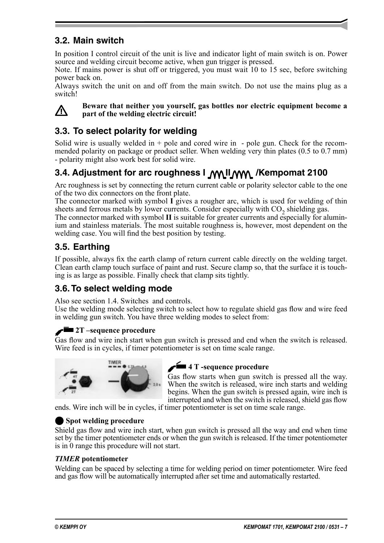# **3.2. Main switch**

In position I control circuit of the unit is live and indicator light of main switch is on. Power source and welding circuit become active, when gun trigger is pressed.

Note. If mains power is shut off or triggered, you must wait 10 to 15 sec, before switching power back on.

Always switch the unit on and off from the main switch. Do not use the mains plug as a switch!



**Reware that neither you yourself, gas bottles nor electric equipment become a**<br>next of the welding electric circuit! **part of the welding electric circuit!**

# **3.3. To select polarity for welding**

Solid wire is usually welded in  $+$  pole and cored wire in  $-$  pole gun. Check for the recommended polarity on package or product seller. When welding very thin plates (0.5 to 0.7 mm) - polarity might also work best for solid wire.

# **3.4. Adjustment for arc roughness I\_M\\_II\_MM\_ /Kempomat 2100**

Arc roughness is set by connecting the return current cable or polarity selector cable to the one of the two dix connectors on the front plate.

The connector marked with symbol **I** gives a rougher arc, which is used for welding of thin sheets and ferrous metals by lower currents. Consider especially with  $CO<sub>2</sub>$  shielding gas.

The connector marked with symbol **II** is suitable for greater currents and especially for aluminium and stainless materials. The most suitable roughness is, however, most dependent on the welding case. You will find the best position by testing.

# **3.5. Earthing**

If possible, always fix the earth clamp of return current cable directly on the welding target. Clean earth clamp touch surface of paint and rust. Secure clamp so, that the surface it is touching is as large as possible. Finally check that clamp sits tightly.

# **3.6. To select welding mode**

Also see section 1.4. Switches and controls.

Use the welding mode selecting switch to select how to regulate shield gas flow and wire feed in welding gun switch. You have three welding modes to select from:

### *<u>2T* –sequence procedure</u>

Gas flow and wire inch start when gun switch is pressed and end when the switch is released. Wire feed is in cycles, if timer potentiometer is set on time scale range.



#### **4 T**-sequence procedure

Gas flow starts when gun switch is pressed all the way. When the switch is released, wire inch starts and welding begins. When the gun switch is pressed again, wire inch is interrupted and when the switch is released, shield gas flow

ends. Wire inch will be in cycles, if timer potentiometer is set on time scale range.

#### **Spot welding procedure**

Shield gas flow and wire inch start, when gun switch is pressed all the way and end when time set by the timer potentiometer ends or when the gun switch is released. If the timer potentiometer is in 0 range this procedure will not start.

#### *TIMER* **potentiometer**

Welding can be spaced by selecting a time for welding period on timer potentiometer. Wire feed and gas flow will be automatically interrupted after set time and automatically restarted.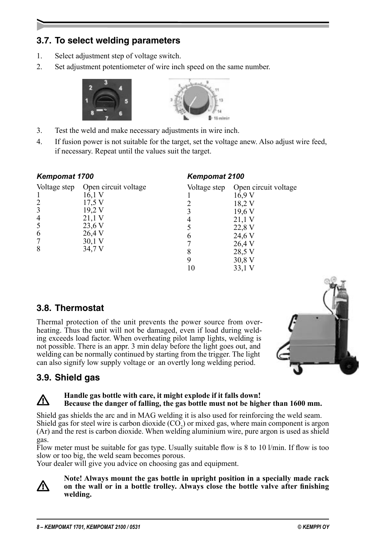# **3.7. To select welding parameters**

- 1. Select adjustment step of voltage switch.
- 2. Set adjustment potentiometer of wire inch speed on the same number.





- 3. Test the weld and make necessary adjustments in wire inch.
- 4. If fusion power is not suitable for the target, set the voltage anew. Also adjust wire feed, if necessary. Repeat until the values suit the target.

| <b>Kempomat 1700</b>                                                      |                                                                                                                | <b>Kempomat 2100</b> |                                                                                                                  |  |
|---------------------------------------------------------------------------|----------------------------------------------------------------------------------------------------------------|----------------------|------------------------------------------------------------------------------------------------------------------|--|
| Voltage step<br>$\overline{2}$<br>3<br>$\overline{4}$<br>5<br>6<br>7<br>8 | Open circuit voltage<br>16,1 V<br>17,5 V<br>19,2 V<br>21,1 V<br>23,6 V<br>26,4 V<br>$30,1 \text{ V}$<br>34,7 V | Voltage step<br>8    | Open circuit voltage<br>16.9 V<br>18,2 V<br>19,6 V<br>21,1 V<br>22,8 V<br>24,6 V<br>26,4 V<br>28,5 V<br>$30,8$ V |  |

## **3.8. Thermostat**

Thermal protection of the unit prevents the power source from overheating. Thus the unit will not be damaged, even if load during welding exceeds load factor. When overheating pilot lamp lights, welding is not possible. There is an appr. 3 min delay before the light goes out, and welding can be normally continued by starting from the trigger. The light can also signify low supply voltage or an overtly long welding period.



# **3.9. Shield gas**

#### **Handle gas bottle with care, it might explode if it falls down!**<br>**Persons the donger of folling, the gas bottle must not be high Because the danger of falling, the gas bottle must not be higher than 1600 mm.**

Shield gas shields the arc and in MAG welding it is also used for reinforcing the weld seam. Shield gas for steel wire is carbon dioxide  $(CO<sub>2</sub>)$  or mixed gas, where main component is argon (Ar) and the rest is carbon dioxide. When welding aluminium wire, pure argon is used as shield gas.

Flow meter must be suitable for gas type. Usually suitable flow is 8 to 10 l/min. If flow is too slow or too big, the weld seam becomes porous.

Your dealer will give you advice on choosing gas and equipment.



#### **Note! Always mount the gas bottle in upright position in a specially made rack on the wall or in a bottle trolley. Always close the bottle valve after finishing welding.**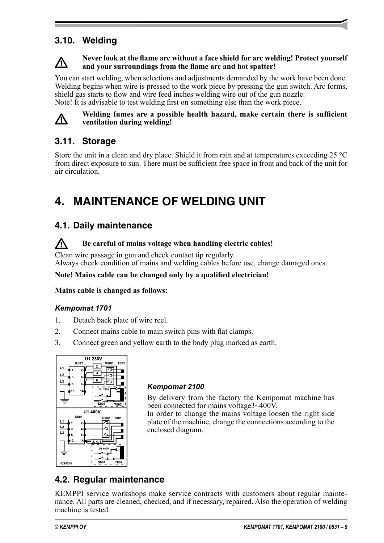# **3.10. Welding**

#### **Never look at the flame arc without a face shield for arc welding! Protect yourself and your surroundings from the flame arc and hot spatter!**

You can start welding, when selections and adjustments demanded by the work have been done. Welding begins when wire is pressed to the work piece by pressing the gun switch. Arc forms, shield gas starts to flow and wire feed inches welding wire out of the gun nozzle. Note! It is advisable to test welding first on something else than the work piece.



#### **Welding fumes are a possible health hazard, make certain there is sufficient ventilation during welding!**

# **3.11. Storage**

Store the unit in a clean and dry place. Shield it from rain and at temperatures exceeding  $25^{\circ}$ C from direct exposure to sun. There must be sufficient free space in front and back of the unit for air circulation.

# **4. MAINTENANCE OF WELDING UNIT**

## **4.1. Daily maintenance**

#### **R** Be careful of mains voltage when handling electric cables!

Clean wire passage in gun and check contact tip regularly. Always check condition of mains and welding cables before use, change damaged ones.

#### **Note! Mains cable can be changed only by a qualified electrician!**

#### **Mains cable is changed as follows:**

#### *Kempomat 1701*

- 1. Detach back plate of wire reel.
- 2. Connect mains cable to main switch pins with flat clamps.
- 3. Connect green and yellow earth to the body plug marked as earth.



### *Kempomat 2100*

By delivery from the factory the Kempomat machine has been connected for mains voltage3~400V.

In order to change the mains voltage loosen the right side plate of the machine, change the connections according to the enclosed diagram.

# **4.2. Regular maintenance**

KEMPPI service workshops make service contracts with customers about regular maintenance. All parts are cleaned, checked, and if necessary, repaired. Also the operation of welding machine is tested.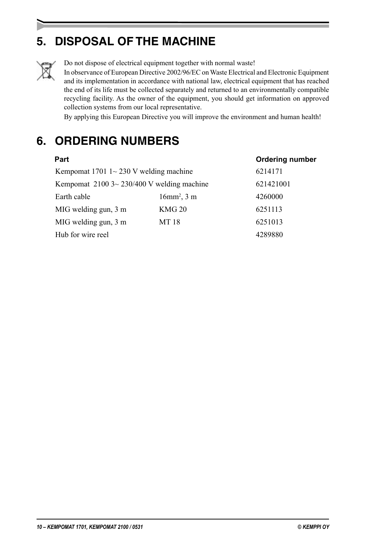# **5. DISPOSAL OF THE MACHINE**



Do not dispose of electrical equipment together with normal waste!

In observance of European Directive 2002/96/EC on Waste Electrical and Electronic Equipment and its implementation in accordance with national law, electrical equipment that has reached the end of its life must be collected separately and returned to an environmentally compatible recycling facility. As the owner of the equipment, you should get information on approved collection systems from our local representative.

By applying this European Directive you will improve the environment and human health!

# **6. ORDERING NUMBERS**

| <b>Part</b>          |                                                              | <b>Ordering number</b> |  |  |  |
|----------------------|--------------------------------------------------------------|------------------------|--|--|--|
|                      | Kempomat 1701 $1 \sim 230$ V welding machine                 |                        |  |  |  |
|                      | Kempomat $21003 \sim 230/400$ V welding machine<br>621421001 |                        |  |  |  |
| Earth cable          | $16mm^2$ , 3 m                                               | 4260000                |  |  |  |
| MIG welding gun, 3 m | KMG <sub>20</sub>                                            | 6251113                |  |  |  |
| MIG welding gun, 3 m | MT 18                                                        | 6251013                |  |  |  |
| Hub for wire reel    |                                                              | 4289880                |  |  |  |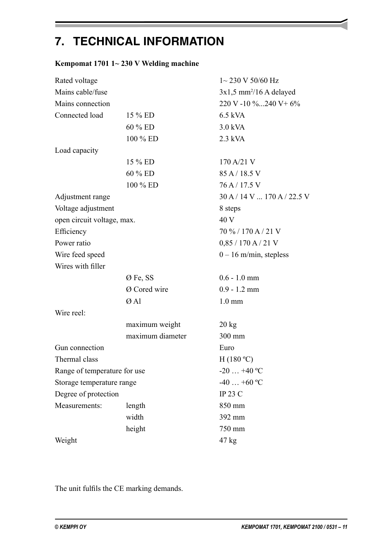# **7. TECHNICAL INFORMATION**

## **Kempomat 1701 1~ 230 V Welding machine**

| Rated voltage                |                  | $1 \sim 230$ V 50/60 Hz               |
|------------------------------|------------------|---------------------------------------|
| Mains cable/fuse             |                  | $3x1,5$ mm <sup>2</sup> /16 A delayed |
| Mains connection             |                  | $220 V - 10 \%$ 240 V + 6%            |
| Connected load               | 15 % ED          | $6.5$ kVA                             |
|                              | 60 % ED          | 3.0 kVA                               |
|                              | 100 % ED         | $2.3$ kVA                             |
| Load capacity                |                  |                                       |
|                              | 15 % ED          | 170 A/21 V                            |
|                              | 60 % ED          | 85 A / 18.5 V                         |
|                              | 100 % ED         | 76 A / 17.5 V                         |
| Adjustment range             |                  | $30 A / 14 V$ 170 A / 22.5 V          |
| Voltage adjustment           |                  | 8 steps                               |
| open circuit voltage, max.   |                  | 40 V                                  |
| Efficiency                   |                  | 70 % / 170 A / 21 V                   |
| Power ratio                  |                  | $0,85 / 170$ A $/ 21$ V               |
| Wire feed speed              |                  | $0 - 16$ m/min, stepless              |
| Wires with filler            |                  |                                       |
|                              | Ø Fe, SS         | $0.6 - 1.0$ mm                        |
|                              | Ø Cored wire     | $0.9 - 1.2$ mm                        |
|                              | Ø Al             | $1.0 \text{ mm}$                      |
| Wire reel:                   |                  |                                       |
|                              | maximum weight   | $20 \text{ kg}$                       |
|                              | maximum diameter | 300 mm                                |
| Gun connection               |                  | Euro                                  |
| Thermal class                |                  | H(180 °C)                             |
| Range of temperature for use |                  | $-20+40$ °C                           |
| Storage temperature range    |                  | $-40+60$ °C                           |
| Degree of protection         |                  | <b>IP 23 C</b>                        |
| Measurements:                | length           | 850 mm                                |
|                              | width            | 392 mm                                |
|                              | height           | 750 mm                                |
| Weight                       |                  | $47 \text{ kg}$                       |

The unit fulfils the CE marking demands.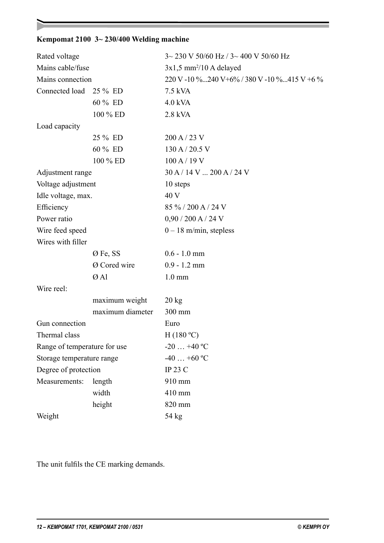#### **Kempomat 2100 3~ 230/400 Welding machine**

| Rated voltage                |                  | $3 \sim 230$ V 50/60 Hz / 3 $\sim$ 400 V 50/60 Hz |  |  |
|------------------------------|------------------|---------------------------------------------------|--|--|
| Mains cable/fuse             |                  | $3x1,5$ mm <sup>2</sup> /10 A delayed             |  |  |
| Mains connection             |                  | 220 V -10 %240 V + 6% / 380 V -10 %415 V + 6 %    |  |  |
| Connected load               | 25 % ED          | 7.5 kVA                                           |  |  |
|                              | 60 % ED          | $4.0$ kVA                                         |  |  |
|                              | 100 % ED         | 2.8 kVA                                           |  |  |
| Load capacity                |                  |                                                   |  |  |
|                              | 25 % ED          | 200 A / 23 V                                      |  |  |
|                              | 60 % ED          | 130 A / 20.5 V                                    |  |  |
|                              | 100 % ED         | 100 A / 19 V                                      |  |  |
| Adjustment range             |                  | $30$ A $/$ 14 V  200 A $/$ 24 V                   |  |  |
| Voltage adjustment           |                  | 10 steps                                          |  |  |
| Idle voltage, max.           |                  | 40 V                                              |  |  |
| Efficiency                   |                  | 85 % / 200 A / 24 V                               |  |  |
| Power ratio                  |                  | $0,90 / 200$ A $/ 24$ V                           |  |  |
| Wire feed speed              |                  | $0 - 18$ m/min, stepless                          |  |  |
| Wires with filler            |                  |                                                   |  |  |
|                              | Ø Fe, SS         | $0.6 - 1.0$ mm                                    |  |  |
|                              | Ø Cored wire     | $0.9 - 1.2$ mm                                    |  |  |
|                              | ØAl              | $1.0 \text{ mm}$                                  |  |  |
| Wire reel:                   |                  |                                                   |  |  |
|                              | maximum weight   | $20 \text{ kg}$                                   |  |  |
|                              | maximum diameter | 300 mm                                            |  |  |
| Gun connection               |                  | Euro                                              |  |  |
| Thermal class                |                  | H(180 °C)                                         |  |  |
| Range of temperature for use |                  | $-20+40$ °C                                       |  |  |
| Storage temperature range    |                  | $-40+60$ °C                                       |  |  |
| Degree of protection         |                  | <b>IP 23 C</b>                                    |  |  |
| Measurements:                | length           | 910 mm                                            |  |  |
|                              | width            | 410 mm                                            |  |  |
|                              | height           | 820 mm                                            |  |  |
| Weight                       |                  | 54 kg                                             |  |  |

The unit fulfils the CE marking demands.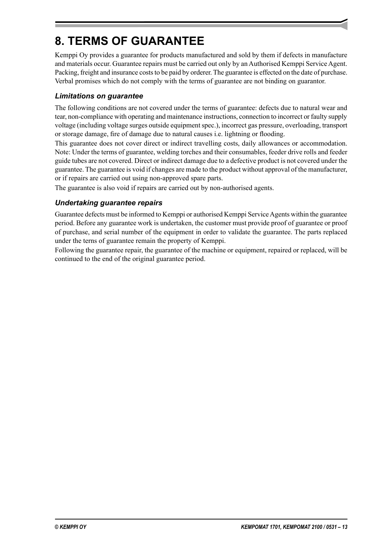# **8. TERMS OF GUARANTEE**

Kemppi Oy provides a guarantee for products manufactured and sold by them if defects in manufacture and materials occur. Guarantee repairs must be carried out only by an Authorised Kemppi Service Agent. Packing, freight and insurance costs to be paid by orderer. The guarantee is effected on the date of purchase. Verbal promises which do not comply with the terms of guarantee are not binding on guarantor.

#### *Limitations on guarantee*

The following conditions are not covered under the terms of guarantee: defects due to natural wear and tear, non-compliance with operating and maintenance instructions, connection to incorrect or faulty supply voltage (including voltage surges outside equipment spec.), incorrect gas pressure, overloading, transport or storage damage, fire of damage due to natural causes i.e. lightning or flooding.

This guarantee does not cover direct or indirect travelling costs, daily allowances or accommodation. Note: Under the terms of guarantee, welding torches and their consumables, feeder drive rolls and feeder guide tubes are not covered. Direct or indirect damage due to a defective product is not covered under the guarantee. The guarantee is void if changes are made to the product without approval of the manufacturer, or if repairs are carried out using non-approved spare parts.

The guarantee is also void if repairs are carried out by non-authorised agents.

#### *Undertaking guarantee repairs*

Guarantee defects must be informed to Kemppi or authorised Kemppi Service Agents within the guarantee period. Before any guarantee work is undertaken, the customer must provide proof of guarantee or proof of purchase, and serial number of the equipment in order to validate the guarantee. The parts replaced under the terns of guarantee remain the property of Kemppi.

Following the guarantee repair, the guarantee of the machine or equipment, repaired or replaced, will be continued to the end of the original guarantee period.